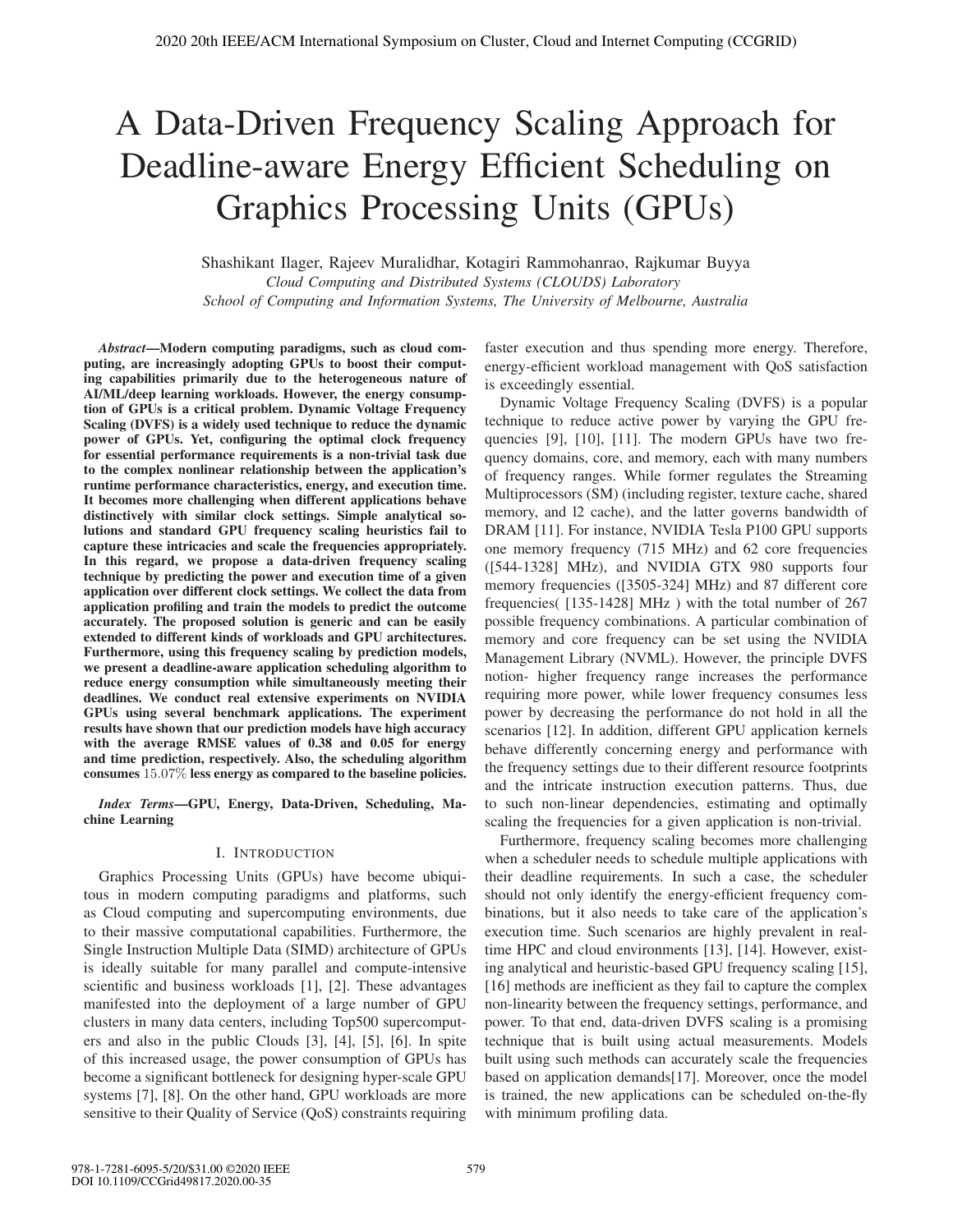# A Data-Driven Frequency Scaling Approach for Deadline-aware Energy Efficient Scheduling on Graphics Processing Units (GPUs)

Shashikant Ilager, Rajeev Muralidhar, Kotagiri Rammohanrao, Rajkumar Buyya *Cloud Computing and Distributed Systems (CLOUDS) Laboratory School of Computing and Information Systems, The University of Melbourne, Australia*

*Abstract*—Modern computing paradigms, such as cloud computing, are increasingly adopting GPUs to boost their computing capabilities primarily due to the heterogeneous nature of AI/ML/deep learning workloads. However, the energy consumption of GPUs is a critical problem. Dynamic Voltage Frequency Scaling (DVFS) is a widely used technique to reduce the dynamic power of GPUs. Yet, configuring the optimal clock frequency for essential performance requirements is a non-trivial task due to the complex nonlinear relationship between the application's runtime performance characteristics, energy, and execution time. It becomes more challenging when different applications behave distinctively with similar clock settings. Simple analytical solutions and standard GPU frequency scaling heuristics fail to capture these intricacies and scale the frequencies appropriately. In this regard, we propose a data-driven frequency scaling technique by predicting the power and execution time of a given application over different clock settings. We collect the data from application profiling and train the models to predict the outcome accurately. The proposed solution is generic and can be easily extended to different kinds of workloads and GPU architectures. Furthermore, using this frequency scaling by prediction models, we present a deadline-aware application scheduling algorithm to reduce energy consumption while simultaneously meeting their deadlines. We conduct real extensive experiments on NVIDIA GPUs using several benchmark applications. The experiment results have shown that our prediction models have high accuracy with the average RMSE values of 0.38 and 0.05 for energy and time prediction, respectively. Also, the scheduling algorithm consumes 15.07% less energy as compared to the baseline policies.

*Index Terms*—GPU, Energy, Data-Driven, Scheduling, Machine Learning

## I. INTRODUCTION

Graphics Processing Units (GPUs) have become ubiquitous in modern computing paradigms and platforms, such as Cloud computing and supercomputing environments, due to their massive computational capabilities. Furthermore, the Single Instruction Multiple Data (SIMD) architecture of GPUs is ideally suitable for many parallel and compute-intensive scientific and business workloads [1], [2]. These advantages manifested into the deployment of a large number of GPU clusters in many data centers, including Top500 supercomputers and also in the public Clouds [3], [4], [5], [6]. In spite of this increased usage, the power consumption of GPUs has become a significant bottleneck for designing hyper-scale GPU systems [7], [8]. On the other hand, GPU workloads are more sensitive to their Quality of Service (QoS) constraints requiring

faster execution and thus spending more energy. Therefore, energy-efficient workload management with QoS satisfaction is exceedingly essential.

Dynamic Voltage Frequency Scaling (DVFS) is a popular technique to reduce active power by varying the GPU frequencies [9], [10], [11]. The modern GPUs have two frequency domains, core, and memory, each with many numbers of frequency ranges. While former regulates the Streaming Multiprocessors (SM) (including register, texture cache, shared memory, and l2 cache), and the latter governs bandwidth of DRAM [11]. For instance, NVIDIA Tesla P100 GPU supports one memory frequency (715 MHz) and 62 core frequencies ([544-1328] MHz), and NVIDIA GTX 980 supports four memory frequencies ([3505-324] MHz) and 87 different core frequencies( [135-1428] MHz ) with the total number of 267 possible frequency combinations. A particular combination of memory and core frequency can be set using the NVIDIA Management Library (NVML). However, the principle DVFS notion- higher frequency range increases the performance requiring more power, while lower frequency consumes less power by decreasing the performance do not hold in all the scenarios [12]. In addition, different GPU application kernels behave differently concerning energy and performance with the frequency settings due to their different resource footprints and the intricate instruction execution patterns. Thus, due to such non-linear dependencies, estimating and optimally scaling the frequencies for a given application is non-trivial.

Furthermore, frequency scaling becomes more challenging when a scheduler needs to schedule multiple applications with their deadline requirements. In such a case, the scheduler should not only identify the energy-efficient frequency combinations, but it also needs to take care of the application's execution time. Such scenarios are highly prevalent in realtime HPC and cloud environments [13], [14]. However, existing analytical and heuristic-based GPU frequency scaling [15], [16] methods are inefficient as they fail to capture the complex non-linearity between the frequency settings, performance, and power. To that end, data-driven DVFS scaling is a promising technique that is built using actual measurements. Models built using such methods can accurately scale the frequencies based on application demands[17]. Moreover, once the model is trained, the new applications can be scheduled on-the-fly with minimum profiling data.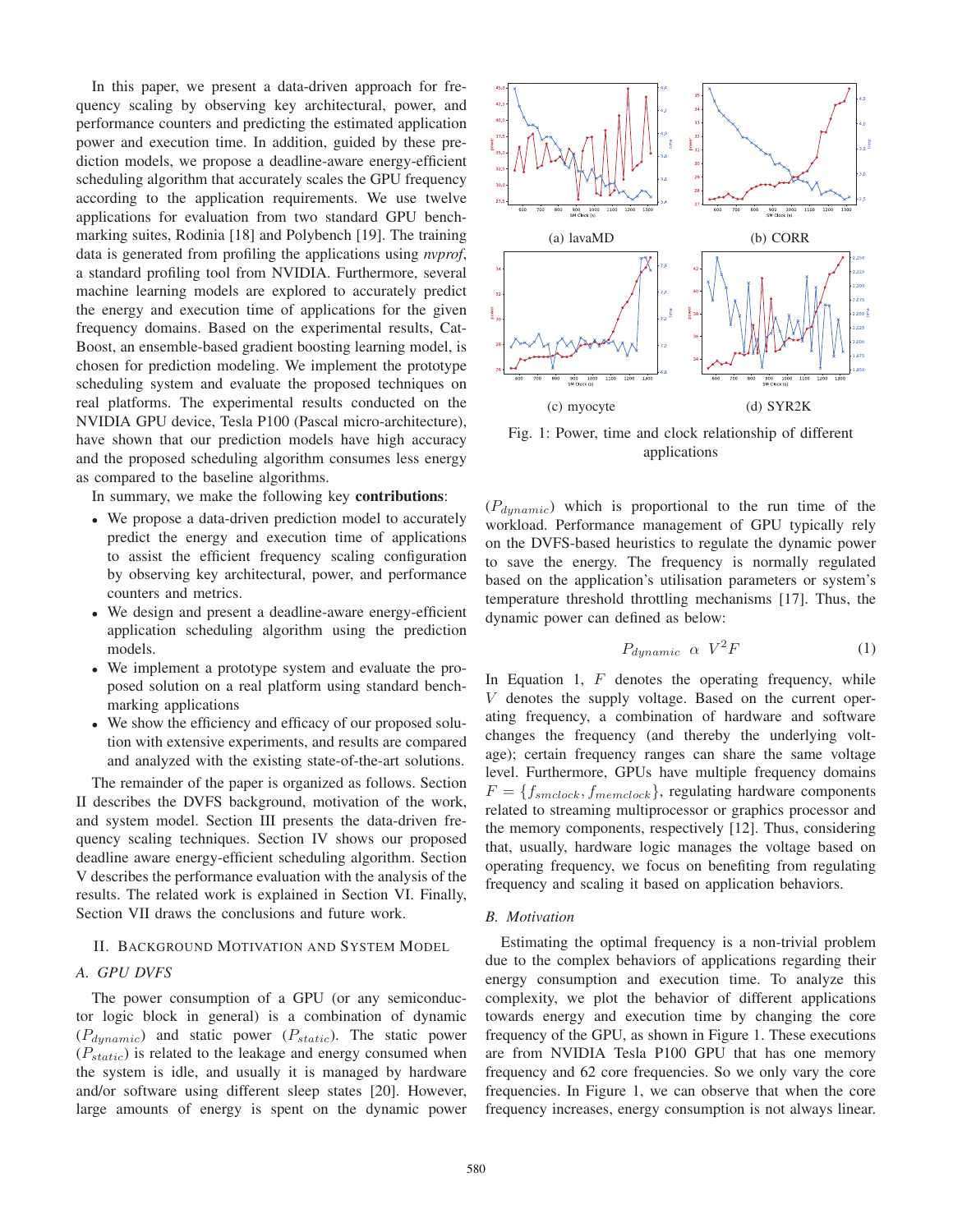In this paper, we present a data-driven approach for frequency scaling by observing key architectural, power, and performance counters and predicting the estimated application power and execution time. In addition, guided by these prediction models, we propose a deadline-aware energy-efficient scheduling algorithm that accurately scales the GPU frequency according to the application requirements. We use twelve applications for evaluation from two standard GPU benchmarking suites, Rodinia [18] and Polybench [19]. The training data is generated from profiling the applications using *nvprof*, a standard profiling tool from NVIDIA. Furthermore, several machine learning models are explored to accurately predict the energy and execution time of applications for the given frequency domains. Based on the experimental results, Cat-Boost, an ensemble-based gradient boosting learning model, is chosen for prediction modeling. We implement the prototype scheduling system and evaluate the proposed techniques on real platforms. The experimental results conducted on the NVIDIA GPU device, Tesla P100 (Pascal micro-architecture), have shown that our prediction models have high accuracy and the proposed scheduling algorithm consumes less energy as compared to the baseline algorithms.

In summary, we make the following key contributions:

- We propose a data-driven prediction model to accurately predict the energy and execution time of applications to assist the efficient frequency scaling configuration by observing key architectural, power, and performance counters and metrics.
- We design and present a deadline-aware energy-efficient application scheduling algorithm using the prediction models.
- We implement a prototype system and evaluate the proposed solution on a real platform using standard benchmarking applications
- We show the efficiency and efficacy of our proposed solution with extensive experiments, and results are compared and analyzed with the existing state-of-the-art solutions.

The remainder of the paper is organized as follows. Section II describes the DVFS background, motivation of the work, and system model. Section III presents the data-driven frequency scaling techniques. Section IV shows our proposed deadline aware energy-efficient scheduling algorithm. Section V describes the performance evaluation with the analysis of the results. The related work is explained in Section VI. Finally, Section VII draws the conclusions and future work.

## II. BACKGROUND MOTIVATION AND SYSTEM MODEL

#### *A. GPU DVFS*

The power consumption of a GPU (or any semiconductor logic block in general) is a combination of dynamic  $(P_{dynamic})$  and static power  $(P_{static})$ . The static power  $(P_{static})$  is related to the leakage and energy consumed when the system is idle, and usually it is managed by hardware and/or software using different sleep states [20]. However, large amounts of energy is spent on the dynamic power



Fig. 1: Power, time and clock relationship of different applications

 $(P_{dynamic})$  which is proportional to the run time of the workload. Performance management of GPU typically rely on the DVFS-based heuristics to regulate the dynamic power to save the energy. The frequency is normally regulated based on the application's utilisation parameters or system's temperature threshold throttling mechanisms [17]. Thus, the dynamic power can defined as below:

$$
P_{dynamic} \ \alpha \ V^2 F \tag{1}
$$

In Equation 1,  $F$  denotes the operating frequency, while V denotes the supply voltage. Based on the current operating frequency, a combination of hardware and software changes the frequency (and thereby the underlying voltage); certain frequency ranges can share the same voltage level. Furthermore, GPUs have multiple frequency domains  $F = \{f_{smclock}, f_{memclock}\}$ , regulating hardware components related to streaming multiprocessor or graphics processor and the memory components, respectively [12]. Thus, considering that, usually, hardware logic manages the voltage based on operating frequency, we focus on benefiting from regulating frequency and scaling it based on application behaviors.

## *B. Motivation*

Estimating the optimal frequency is a non-trivial problem due to the complex behaviors of applications regarding their energy consumption and execution time. To analyze this complexity, we plot the behavior of different applications towards energy and execution time by changing the core frequency of the GPU, as shown in Figure 1. These executions are from NVIDIA Tesla P100 GPU that has one memory frequency and 62 core frequencies. So we only vary the core frequencies. In Figure 1, we can observe that when the core frequency increases, energy consumption is not always linear.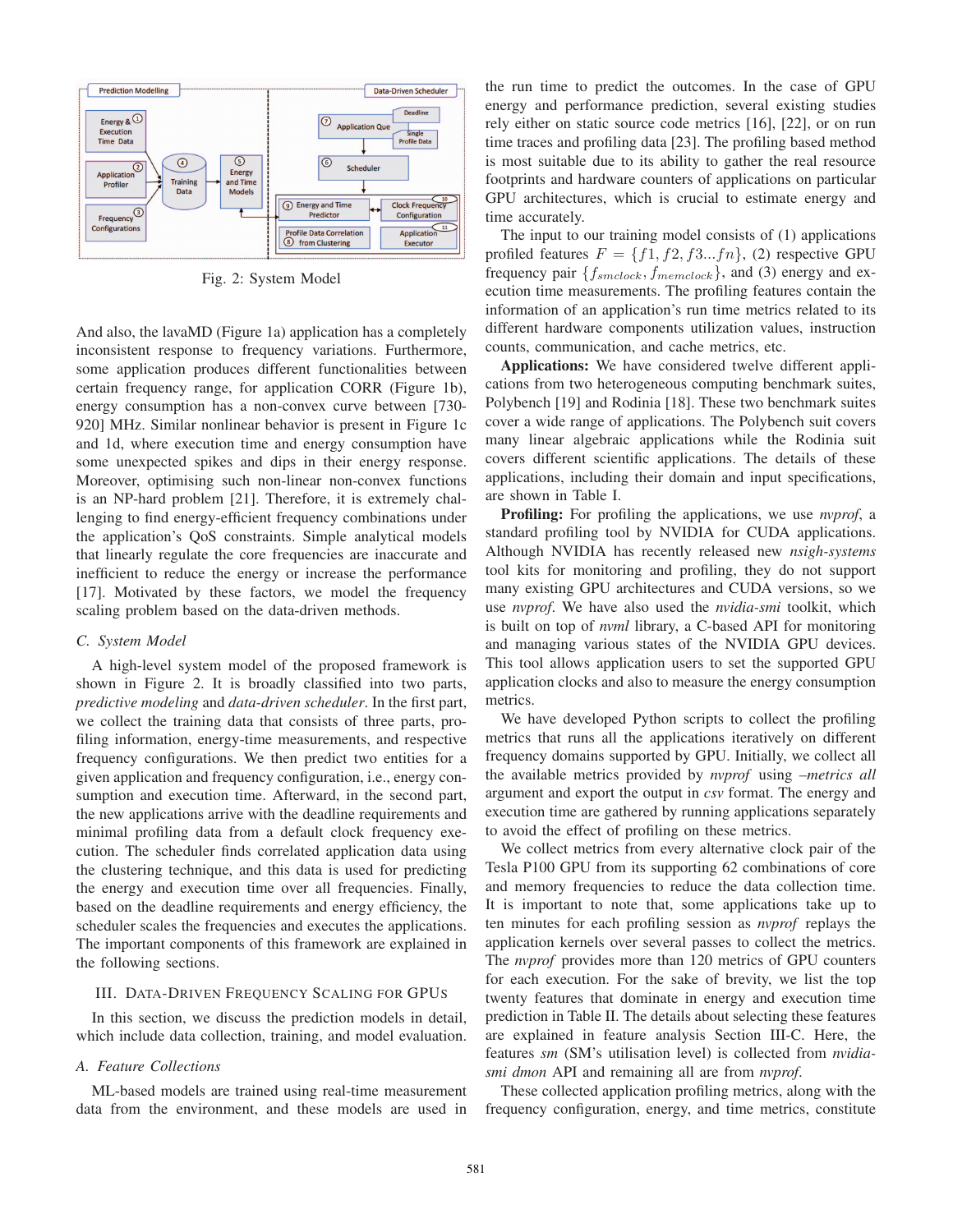

Fig. 2: System Model

And also, the lavaMD (Figure 1a) application has a completely inconsistent response to frequency variations. Furthermore, some application produces different functionalities between certain frequency range, for application CORR (Figure 1b), energy consumption has a non-convex curve between [730- 920] MHz. Similar nonlinear behavior is present in Figure 1c and 1d, where execution time and energy consumption have some unexpected spikes and dips in their energy response. Moreover, optimising such non-linear non-convex functions is an NP-hard problem [21]. Therefore, it is extremely challenging to find energy-efficient frequency combinations under the application's QoS constraints. Simple analytical models that linearly regulate the core frequencies are inaccurate and inefficient to reduce the energy or increase the performance [17]. Motivated by these factors, we model the frequency scaling problem based on the data-driven methods.

## *C. System Model*

A high-level system model of the proposed framework is shown in Figure 2. It is broadly classified into two parts, *predictive modeling* and *data-driven scheduler*. In the first part, we collect the training data that consists of three parts, profiling information, energy-time measurements, and respective frequency configurations. We then predict two entities for a given application and frequency configuration, i.e., energy consumption and execution time. Afterward, in the second part, the new applications arrive with the deadline requirements and minimal profiling data from a default clock frequency execution. The scheduler finds correlated application data using the clustering technique, and this data is used for predicting the energy and execution time over all frequencies. Finally, based on the deadline requirements and energy efficiency, the scheduler scales the frequencies and executes the applications. The important components of this framework are explained in the following sections.

# III. DATA-DRIVEN FREQUENCY SCALING FOR GPUS

In this section, we discuss the prediction models in detail, which include data collection, training, and model evaluation.

## *A. Feature Collections*

ML-based models are trained using real-time measurement data from the environment, and these models are used in the run time to predict the outcomes. In the case of GPU energy and performance prediction, several existing studies rely either on static source code metrics [16], [22], or on run time traces and profiling data [23]. The profiling based method is most suitable due to its ability to gather the real resource footprints and hardware counters of applications on particular GPU architectures, which is crucial to estimate energy and time accurately.

The input to our training model consists of (1) applications profiled features  $F = \{f1, f2, f3...fn\}$ , (2) respective GPU frequency pair  $\{f_{smclock}, f_{memclock}\}$ , and (3) energy and execution time measurements. The profiling features contain the information of an application's run time metrics related to its different hardware components utilization values, instruction counts, communication, and cache metrics, etc.

Applications: We have considered twelve different applications from two heterogeneous computing benchmark suites, Polybench [19] and Rodinia [18]. These two benchmark suites cover a wide range of applications. The Polybench suit covers many linear algebraic applications while the Rodinia suit covers different scientific applications. The details of these applications, including their domain and input specifications, are shown in Table I.

Profiling: For profiling the applications, we use *nvprof*, a standard profiling tool by NVIDIA for CUDA applications. Although NVIDIA has recently released new *nsigh-systems* tool kits for monitoring and profiling, they do not support many existing GPU architectures and CUDA versions, so we use *nvprof*. We have also used the *nvidia-smi* toolkit, which is built on top of *nvml* library, a C-based API for monitoring and managing various states of the NVIDIA GPU devices. This tool allows application users to set the supported GPU application clocks and also to measure the energy consumption metrics.

We have developed Python scripts to collect the profiling metrics that runs all the applications iteratively on different frequency domains supported by GPU. Initially, we collect all the available metrics provided by *nvprof* using *–metrics all* argument and export the output in *csv* format. The energy and execution time are gathered by running applications separately to avoid the effect of profiling on these metrics.

We collect metrics from every alternative clock pair of the Tesla P100 GPU from its supporting 62 combinations of core and memory frequencies to reduce the data collection time. It is important to note that, some applications take up to ten minutes for each profiling session as *nvprof* replays the application kernels over several passes to collect the metrics. The *nvprof* provides more than 120 metrics of GPU counters for each execution. For the sake of brevity, we list the top twenty features that dominate in energy and execution time prediction in Table II. The details about selecting these features are explained in feature analysis Section III-C. Here, the features *sm* (SM's utilisation level) is collected from *nvidiasmi dmon* API and remaining all are from *nvprof*.

These collected application profiling metrics, along with the frequency configuration, energy, and time metrics, constitute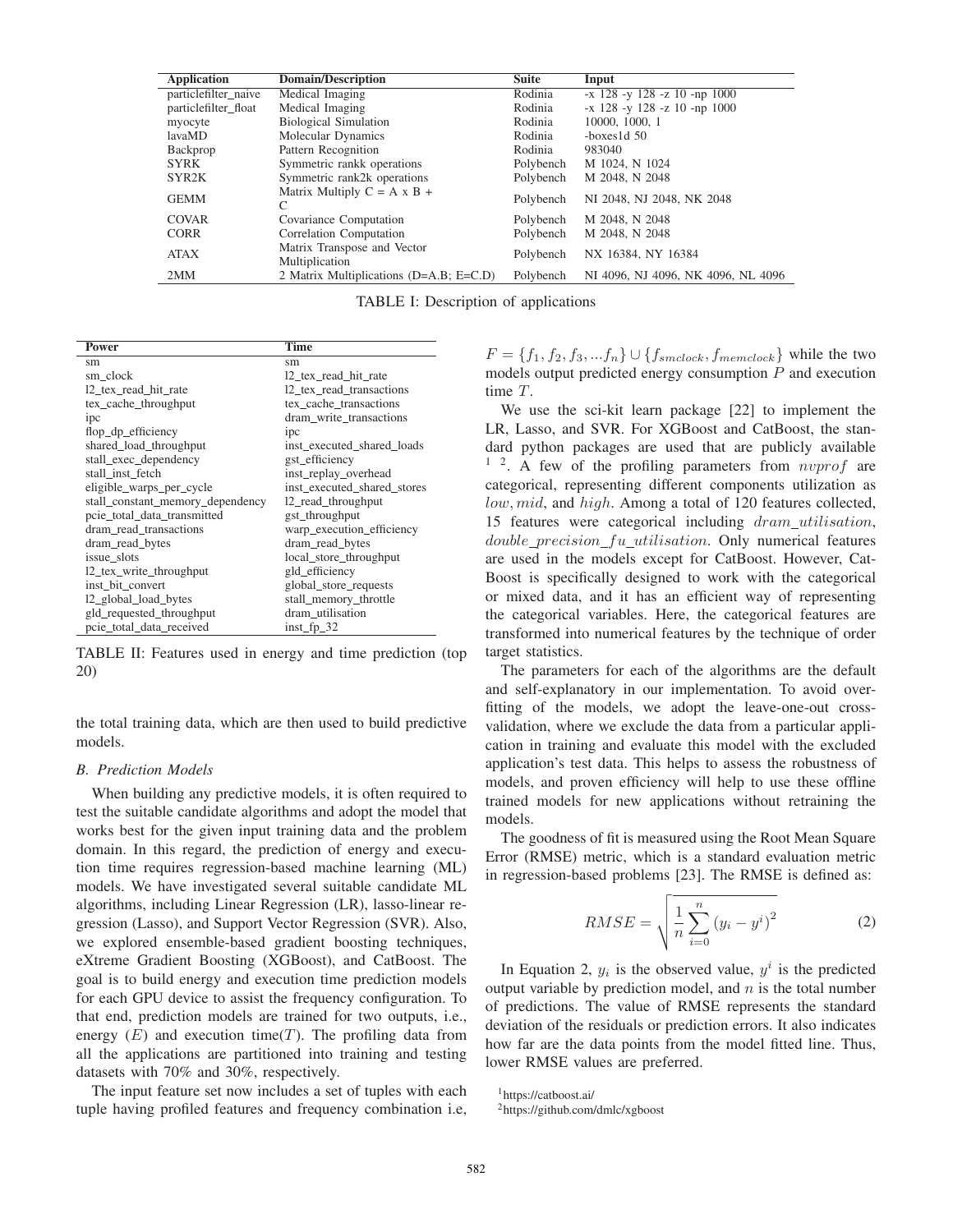| <b>Application</b>   | Domain/Description                             | <b>Suite</b> | Input                              |
|----------------------|------------------------------------------------|--------------|------------------------------------|
| particlefilter_naive | Medical Imaging                                | Rodinia      | $-x$ 128 -y 128 -z 10 -np 1000     |
| particlefilter_float | Medical Imaging                                | Rodinia      | $-x$ 128 -y 128 -z 10 -np 1000     |
| myocyte              | <b>Biological Simulation</b>                   | Rodinia      | 10000, 1000, 1                     |
| lavaMD               | Molecular Dynamics                             | Rodinia      | $-$ boxes $1d$ 50                  |
| Backprop             | Pattern Recognition                            | Rodinia      | 983040                             |
| <b>SYRK</b>          | Symmetric rankk operations                     | Polybench    | M 1024, N 1024                     |
| SYR <sub>2</sub> K   | Symmetric rank2k operations                    | Polybench    | M 2048, N 2048                     |
| <b>GEMM</b>          | Matrix Multiply $C = A \times B +$<br>C        | Polybench    | NI 2048, NJ 2048, NK 2048          |
| COVAR                | Covariance Computation                         | Polybench    | M 2048, N 2048                     |
| <b>CORR</b>          | Correlation Computation                        | Polybench    | M 2048, N 2048                     |
| <b>ATAX</b>          | Matrix Transpose and Vector<br>Multiplication  | Polybench    | NX 16384, NY 16384                 |
| 2MM                  | 2 Matrix Multiplications ( $D=A.B$ ; $E=C.D$ ) | Polybench    | NI 4096, NJ 4096, NK 4096, NL 4096 |

TABLE I: Description of applications

| Power                            | <b>Time</b>                 |  |  |
|----------------------------------|-----------------------------|--|--|
| sm                               | sm                          |  |  |
| sm clock                         | 12 tex read hit rate        |  |  |
| 12 tex read hit rate             | 12 tex read transactions    |  |  |
| tex_cache_throughput             | tex cache transactions      |  |  |
| ipc                              | dram write transactions     |  |  |
| flop_dp_efficiency               | ipc                         |  |  |
| shared_load_throughput           | inst executed shared loads  |  |  |
| stall exec dependency            | gst efficiency              |  |  |
| stall inst fetch                 | inst_replay_overhead        |  |  |
| eligible_warps_per_cycle         | inst executed shared stores |  |  |
| stall_constant_memory_dependency | 12_read_throughput          |  |  |
| pcie_total_data_transmitted      | gst_throughput              |  |  |
| dram_read_transactions           | warp_execution_efficiency   |  |  |
| dram_read_bytes                  | dram_read_bytes             |  |  |
| issue slots                      | local_store_throughput      |  |  |
| 12_tex_write_throughput          | gld_efficiency              |  |  |
| inst bit convert                 | global_store_requests       |  |  |
| 12_global_load_bytes             | stall_memory_throttle       |  |  |
| gld_requested_throughput         | dram_utilisation            |  |  |
| pcie total data received         | inst fp $32$                |  |  |

TABLE II: Features used in energy and time prediction (top 20)

the total training data, which are then used to build predictive models.

### *B. Prediction Models*

When building any predictive models, it is often required to test the suitable candidate algorithms and adopt the model that works best for the given input training data and the problem domain. In this regard, the prediction of energy and execution time requires regression-based machine learning (ML) models. We have investigated several suitable candidate ML algorithms, including Linear Regression (LR), lasso-linear regression (Lasso), and Support Vector Regression (SVR). Also, we explored ensemble-based gradient boosting techniques, eXtreme Gradient Boosting (XGBoost), and CatBoost. The goal is to build energy and execution time prediction models for each GPU device to assist the frequency configuration. To that end, prediction models are trained for two outputs, i.e., energy  $(E)$  and execution time(T). The profiling data from all the applications are partitioned into training and testing datasets with 70% and 30%, respectively.

The input feature set now includes a set of tuples with each tuple having profiled features and frequency combination i.e,

 $F = \{f_1, f_2, f_3, ... f_n\} \cup \{f_{smclock}, f_{memclock}\}\$  while the two models output predicted energy consumption  $P$  and execution time T.

We use the sci-kit learn package [22] to implement the LR, Lasso, and SVR. For XGBoost and CatBoost, the standard python packages are used that are publicly available  $1^2$ . A few of the profiling parameters from *nvprof* are categorical, representing different components utilization as low, mid, and high. Among a total of 120 features collected, 15 features were categorical including dram\_utilisation,  $double\_precision\_fu\_utilisation$ . Only numerical features are used in the models except for CatBoost. However, Cat-Boost is specifically designed to work with the categorical or mixed data, and it has an efficient way of representing the categorical variables. Here, the categorical features are transformed into numerical features by the technique of order target statistics.

The parameters for each of the algorithms are the default and self-explanatory in our implementation. To avoid overfitting of the models, we adopt the leave-one-out crossvalidation, where we exclude the data from a particular application in training and evaluate this model with the excluded application's test data. This helps to assess the robustness of models, and proven efficiency will help to use these offline trained models for new applications without retraining the models.

The goodness of fit is measured using the Root Mean Square Error (RMSE) metric, which is a standard evaluation metric in regression-based problems [23]. The RMSE is defined as:

$$
RMSE = \sqrt{\frac{1}{n} \sum_{i=0}^{n} (y_i - y^i)^2}
$$
 (2)

In Equation 2,  $y_i$  is the observed value,  $y^i$  is the predicted output variable by prediction model, and  $n$  is the total number of predictions. The value of RMSE represents the standard deviation of the residuals or prediction errors. It also indicates how far are the data points from the model fitted line. Thus, lower RMSE values are preferred.

1https://catboost.ai/

<sup>2</sup>https://github.com/dmlc/xgboost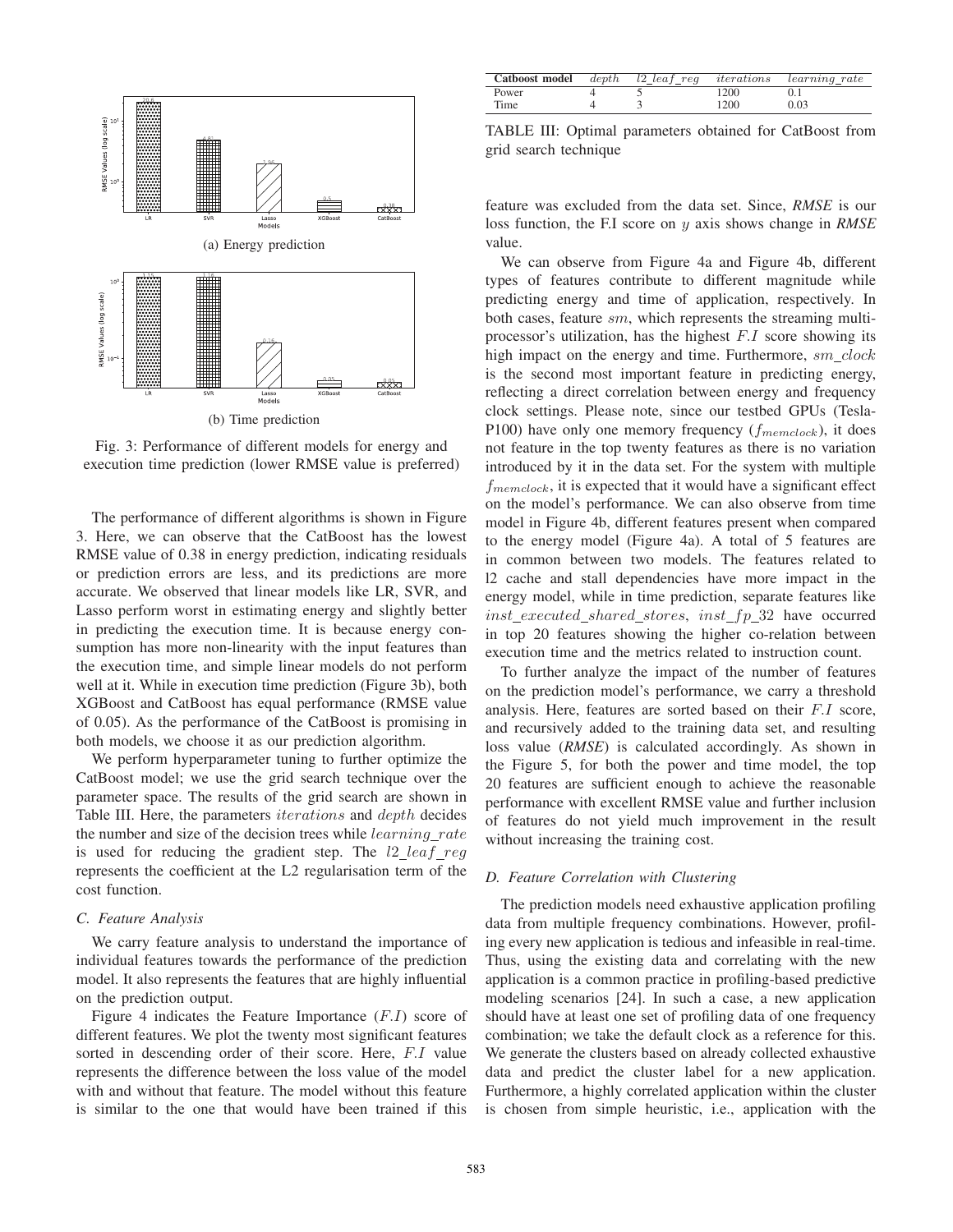

Fig. 3: Performance of different models for energy and execution time prediction (lower RMSE value is preferred)

The performance of different algorithms is shown in Figure 3. Here, we can observe that the CatBoost has the lowest RMSE value of 0.38 in energy prediction, indicating residuals or prediction errors are less, and its predictions are more accurate. We observed that linear models like LR, SVR, and Lasso perform worst in estimating energy and slightly better in predicting the execution time. It is because energy consumption has more non-linearity with the input features than the execution time, and simple linear models do not perform well at it. While in execution time prediction (Figure 3b), both XGBoost and CatBoost has equal performance (RMSE value of 0.05). As the performance of the CatBoost is promising in both models, we choose it as our prediction algorithm.

We perform hyperparameter tuning to further optimize the CatBoost model; we use the grid search technique over the parameter space. The results of the grid search are shown in Table III. Here, the parameters iterations and depth decides the number and size of the decision trees while learning rate is used for reducing the gradient step. The  $l2 \text{\_leaf\_reg}$ represents the coefficient at the L2 regularisation term of the cost function.

#### *C. Feature Analysis*

We carry feature analysis to understand the importance of individual features towards the performance of the prediction model. It also represents the features that are highly influential on the prediction output.

Figure 4 indicates the Feature Importance  $(F.I)$  score of different features. We plot the twenty most significant features sorted in descending order of their score. Here, F.I value represents the difference between the loss value of the model with and without that feature. The model without this feature is similar to the one that would have been trained if this

| <b>Catboost model</b> depth l2_leaf_req iterations learning_rate |  |      |      |
|------------------------------------------------------------------|--|------|------|
| Power                                                            |  | 1200 |      |
| Time                                                             |  | 1200 | 0.03 |

TABLE III: Optimal parameters obtained for CatBoost from grid search technique

feature was excluded from the data set. Since, *RMSE* is our loss function, the F.I score on y axis shows change in *RMSE* value.

We can observe from Figure 4a and Figure 4b, different types of features contribute to different magnitude while predicting energy and time of application, respectively. In both cases, feature sm, which represents the streaming multiprocessor's utilization, has the highest F.I score showing its high impact on the energy and time. Furthermore,  $sm\_clock$ is the second most important feature in predicting energy, reflecting a direct correlation between energy and frequency clock settings. Please note, since our testbed GPUs (Tesla-P100) have only one memory frequency  $(f_{memclock})$ , it does not feature in the top twenty features as there is no variation introduced by it in the data set. For the system with multiple  $f_{\text{memclock}}$ , it is expected that it would have a significant effect on the model's performance. We can also observe from time model in Figure 4b, different features present when compared to the energy model (Figure 4a). A total of 5 features are in common between two models. The features related to l2 cache and stall dependencies have more impact in the energy model, while in time prediction, separate features like  $inst\_executed\_shared\_stores, \ inst\_fp\_32$  have occurred in top 20 features showing the higher co-relation between execution time and the metrics related to instruction count.

To further analyze the impact of the number of features on the prediction model's performance, we carry a threshold analysis. Here, features are sorted based on their F.I score, and recursively added to the training data set, and resulting loss value (*RMSE*) is calculated accordingly. As shown in the Figure 5, for both the power and time model, the top 20 features are sufficient enough to achieve the reasonable performance with excellent RMSE value and further inclusion of features do not yield much improvement in the result without increasing the training cost.

#### *D. Feature Correlation with Clustering*

The prediction models need exhaustive application profiling data from multiple frequency combinations. However, profiling every new application is tedious and infeasible in real-time. Thus, using the existing data and correlating with the new application is a common practice in profiling-based predictive modeling scenarios [24]. In such a case, a new application should have at least one set of profiling data of one frequency combination; we take the default clock as a reference for this. We generate the clusters based on already collected exhaustive data and predict the cluster label for a new application. Furthermore, a highly correlated application within the cluster is chosen from simple heuristic, i.e., application with the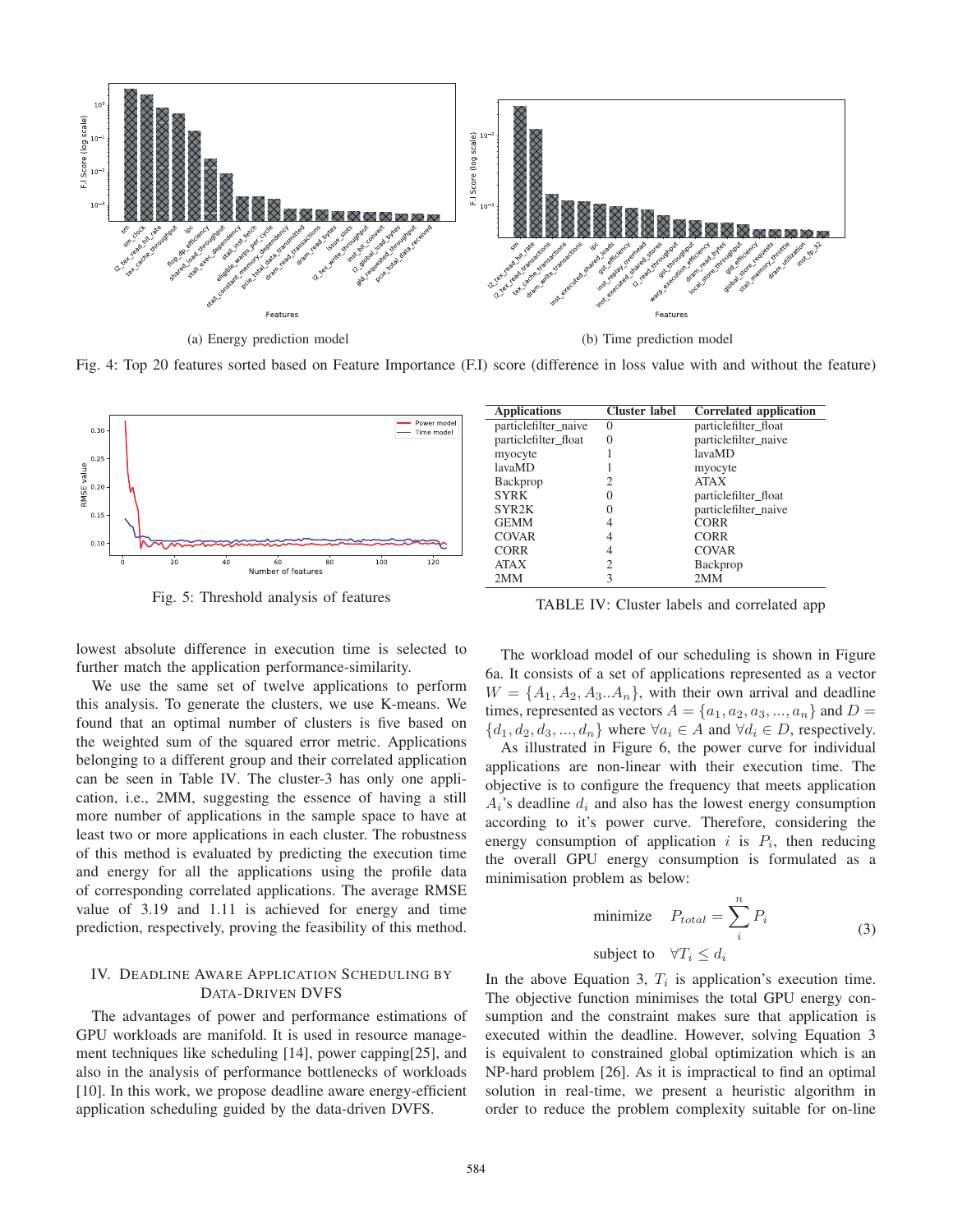

(a) Energy prediction model (b) Time prediction model

Fig. 4: Top 20 features sorted based on Feature Importance (F.I) score (difference in loss value with and without the feature)



Fig. 5: Threshold analysis of features

lowest absolute difference in execution time is selected to further match the application performance-similarity.

We use the same set of twelve applications to perform this analysis. To generate the clusters, we use K-means. We found that an optimal number of clusters is five based on the weighted sum of the squared error metric. Applications belonging to a different group and their correlated application can be seen in Table IV. The cluster-3 has only one application, i.e., 2MM, suggesting the essence of having a still more number of applications in the sample space to have at least two or more applications in each cluster. The robustness of this method is evaluated by predicting the execution time and energy for all the applications using the profile data of corresponding correlated applications. The average RMSE value of 3.19 and 1.11 is achieved for energy and time prediction, respectively, proving the feasibility of this method.

# IV. DEADLINE AWARE APPLICATION SCHEDULING BY DATA-DRIVEN DVFS

The advantages of power and performance estimations of GPU workloads are manifold. It is used in resource management techniques like scheduling [14], power capping[25], and also in the analysis of performance bottlenecks of workloads [10]. In this work, we propose deadline aware energy-efficient application scheduling guided by the data-driven DVFS.

| <b>Applications</b>  | <b>Cluster label</b> | Correlated application |
|----------------------|----------------------|------------------------|
| particlefilter_naive | $\Omega$             | particlefilter_float   |
| particlefilter float | $\theta$             | particlefilter naive   |
| myocyte              |                      | lavaMD                 |
| lavaMD               |                      | myocyte                |
| Backprop             | 2                    | <b>ATAX</b>            |
| <b>SYRK</b>          |                      | particlefilter_float   |
| SYR2K                |                      | particlefilter naive   |
| <b>GEMM</b>          |                      | <b>CORR</b>            |
| <b>COVAR</b>         |                      | <b>CORR</b>            |
| <b>CORR</b>          | 4                    | <b>COVAR</b>           |
| <b>ATAX</b>          | 2                    | Backprop               |
| 2MM                  | 3                    | 2MM                    |

TABLE IV: Cluster labels and correlated app

The workload model of our scheduling is shown in Figure 6a. It consists of a set of applications represented as a vector  $W = \{A_1, A_2, A_3, A_n\}$ , with their own arrival and deadline times, represented as vectors  $A = \{a_1, a_2, a_3, ..., a_n\}$  and  $D =$  $\{d_1, d_2, d_3, ..., d_n\}$  where  $\forall a_i \in A$  and  $\forall d_i \in D$ , respectively.

As illustrated in Figure 6, the power curve for individual applications are non-linear with their execution time. The objective is to configure the frequency that meets application  $A_i$ 's deadline  $d_i$  and also has the lowest energy consumption according to it's power curve. Therefore, considering the energy consumption of application i is  $P_i$ , then reducing the overall GPU energy consumption is formulated as a minimisation problem as below:

minimize 
$$
P_{total} = \sum_{i}^{n} P_{i}
$$
  
subject to  $\forall T_{i} \leq d_{i}$  (3)

In the above Equation 3,  $T_i$  is application's execution time. The objective function minimises the total GPU energy consumption and the constraint makes sure that application is executed within the deadline. However, solving Equation 3 is equivalent to constrained global optimization which is an NP-hard problem [26]. As it is impractical to find an optimal solution in real-time, we present a heuristic algorithm in order to reduce the problem complexity suitable for on-line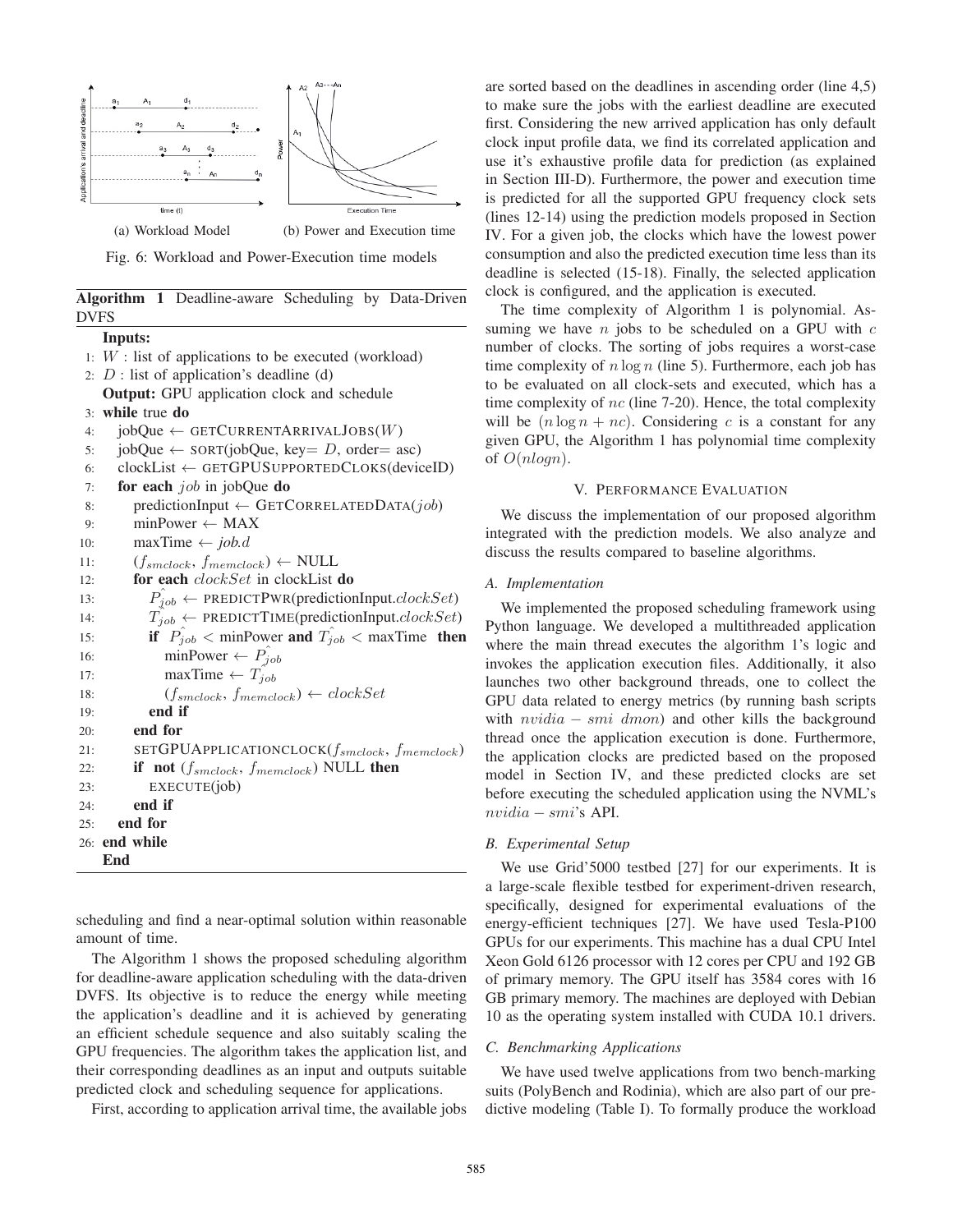

Fig. 6: Workload and Power-Execution time models

|       | Algorithm 1 Deadline-aware Scheduling by Data-Driven |  |  |
|-------|------------------------------------------------------|--|--|
| DVFS. |                                                      |  |  |

Inputs: 1:  $W$  : list of applications to be executed (workload) 2:  $D$  : list of application's deadline (d) Output: GPU application clock and schedule 3: while true do 4: jobQue ← GETCURRENTARRIVALJOBS(W)<br>5: jobQue ← SORT(jobQue, key= D, order= a 5: jobQue ← SORT(jobQue, key= D, order= asc)<br>6: clockList ← GETGPUSUPPORTEDCLOKS(devic 6: clockList  $\leftarrow$  GETGPUSUPPORTEDCLOKS(deviceID)<br>7: **for each** *job* in jobQue **do** for each  $job$  in jobQue do 8: predictionInput ← GETCORRELATEDDATA(job)<br>9: minPower ← MAX 9: minPower  $\leftarrow$  MAX<br>10: maxTime  $\leftarrow$  *iob.d* 10: maxTime  $\leftarrow job.d$ <br>11:  $(f_{smclock}, f_{memcl}$ 11:  $(f_{smclock}, f_{memclock}) \leftarrow \text{NULL}$ <br>12: **for each** *clock.Set* in clockList for each clockSet in clockList do 13:  $P_{job} \leftarrow \text{PREDICTPWR}(\text{predictionInput}.clockSet)$ 14:  $T_{job} \leftarrow \text{PREDICTTIME}(predictionInput.closeSet)$ 15: if  $P_{job} <$  minPower and  $T_{job} <$  maxTime then 16: minPower  $\leftarrow P_{job}$ 17: maxTime  $\leftarrow T_{job}$ 18:  $(f_{smclock}, f_{memclock}) \leftarrow clockSet$  $19:$  end if 20: end for 21: SETGPUAPPLICATIONCLOCK $(f_{smclock}, f_{memclock})$ 22: if not  $(f_{smclock}, f_{memclock})$  NULL then 23: EXECUTE(job) 24: end if 25: end for 26: end while End

scheduling and find a near-optimal solution within reasonable amount of time.

The Algorithm 1 shows the proposed scheduling algorithm for deadline-aware application scheduling with the data-driven DVFS. Its objective is to reduce the energy while meeting the application's deadline and it is achieved by generating an efficient schedule sequence and also suitably scaling the GPU frequencies. The algorithm takes the application list, and their corresponding deadlines as an input and outputs suitable predicted clock and scheduling sequence for applications.

First, according to application arrival time, the available jobs

are sorted based on the deadlines in ascending order (line 4,5) to make sure the jobs with the earliest deadline are executed first. Considering the new arrived application has only default clock input profile data, we find its correlated application and use it's exhaustive profile data for prediction (as explained in Section III-D). Furthermore, the power and execution time is predicted for all the supported GPU frequency clock sets (lines 12-14) using the prediction models proposed in Section IV. For a given job, the clocks which have the lowest power consumption and also the predicted execution time less than its deadline is selected (15-18). Finally, the selected application clock is configured, and the application is executed.

The time complexity of Algorithm 1 is polynomial. Assuming we have  $n$  jobs to be scheduled on a GPU with  $c$ number of clocks. The sorting of jobs requires a worst-case time complexity of  $n \log n$  (line 5). Furthermore, each job has to be evaluated on all clock-sets and executed, which has a time complexity of  $nc$  (line 7-20). Hence, the total complexity will be  $(n \log n + nc)$ . Considering c is a constant for any given GPU, the Algorithm 1 has polynomial time complexity of <sup>O</sup>(nlogn).

## V. PERFORMANCE EVALUATION

We discuss the implementation of our proposed algorithm integrated with the prediction models. We also analyze and discuss the results compared to baseline algorithms.

## *A. Implementation*

We implemented the proposed scheduling framework using Python language. We developed a multithreaded application where the main thread executes the algorithm 1's logic and invokes the application execution files. Additionally, it also launches two other background threads, one to collect the GPU data related to energy metrics (by running bash scripts with  $nvidia - smi dmon$ ) and other kills the background thread once the application execution is done. Furthermore, the application clocks are predicted based on the proposed model in Section IV, and these predicted clocks are set before executing the scheduled application using the NVML's nvidia − smi's API.

## *B. Experimental Setup*

We use Grid'5000 testbed [27] for our experiments. It is a large-scale flexible testbed for experiment-driven research, specifically, designed for experimental evaluations of the energy-efficient techniques [27]. We have used Tesla-P100 GPUs for our experiments. This machine has a dual CPU Intel Xeon Gold 6126 processor with 12 cores per CPU and 192 GB of primary memory. The GPU itself has 3584 cores with 16 GB primary memory. The machines are deployed with Debian 10 as the operating system installed with CUDA 10.1 drivers.

# *C. Benchmarking Applications*

We have used twelve applications from two bench-marking suits (PolyBench and Rodinia), which are also part of our predictive modeling (Table I). To formally produce the workload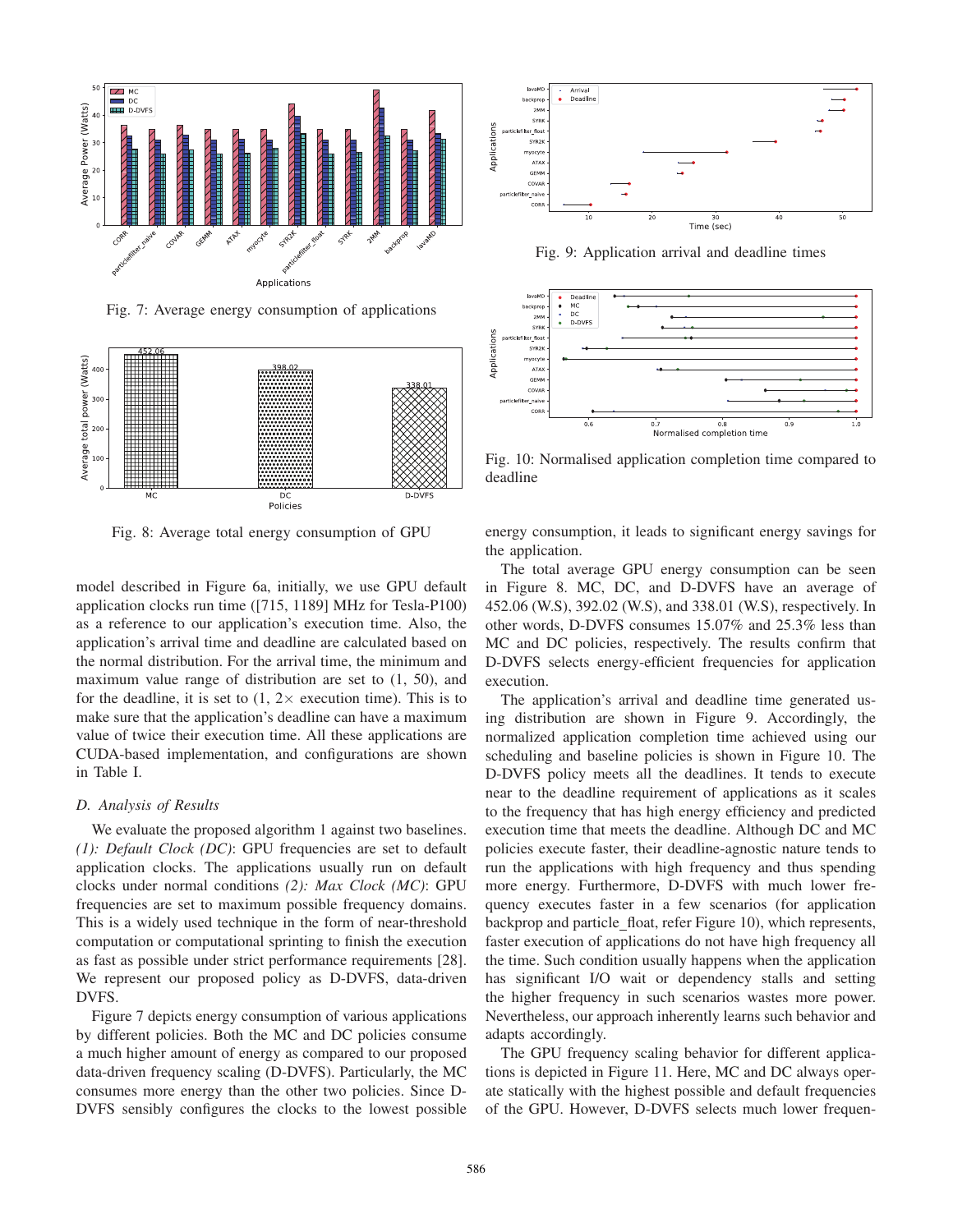

Fig. 7: Average energy consumption of applications



Fig. 8: Average total energy consumption of GPU

model described in Figure 6a, initially, we use GPU default application clocks run time ([715, 1189] MHz for Tesla-P100) as a reference to our application's execution time. Also, the application's arrival time and deadline are calculated based on the normal distribution. For the arrival time, the minimum and maximum value range of distribution are set to (1, 50), and for the deadline, it is set to  $(1, 2 \times$  execution time). This is to make sure that the application's deadline can have a maximum value of twice their execution time. All these applications are CUDA-based implementation, and configurations are shown in Table I.

## *D. Analysis of Results*

We evaluate the proposed algorithm 1 against two baselines. *(1): Default Clock (DC)*: GPU frequencies are set to default application clocks. The applications usually run on default clocks under normal conditions *(2): Max Clock (MC)*: GPU frequencies are set to maximum possible frequency domains. This is a widely used technique in the form of near-threshold computation or computational sprinting to finish the execution as fast as possible under strict performance requirements [28]. We represent our proposed policy as D-DVFS, data-driven DVFS.

Figure 7 depicts energy consumption of various applications by different policies. Both the MC and DC policies consume a much higher amount of energy as compared to our proposed data-driven frequency scaling (D-DVFS). Particularly, the MC consumes more energy than the other two policies. Since D-DVFS sensibly configures the clocks to the lowest possible



Fig. 9: Application arrival and deadline times



Fig. 10: Normalised application completion time compared to deadline

energy consumption, it leads to significant energy savings for the application.

The total average GPU energy consumption can be seen in Figure 8. MC, DC, and D-DVFS have an average of 452.06 (W.S), 392.02 (W.S), and 338.01 (W.S), respectively. In other words, D-DVFS consumes 15.07% and 25.3% less than MC and DC policies, respectively. The results confirm that D-DVFS selects energy-efficient frequencies for application execution.

The application's arrival and deadline time generated using distribution are shown in Figure 9. Accordingly, the normalized application completion time achieved using our scheduling and baseline policies is shown in Figure 10. The D-DVFS policy meets all the deadlines. It tends to execute near to the deadline requirement of applications as it scales to the frequency that has high energy efficiency and predicted execution time that meets the deadline. Although DC and MC policies execute faster, their deadline-agnostic nature tends to run the applications with high frequency and thus spending more energy. Furthermore, D-DVFS with much lower frequency executes faster in a few scenarios (for application backprop and particle float, refer Figure 10), which represents, faster execution of applications do not have high frequency all the time. Such condition usually happens when the application has significant I/O wait or dependency stalls and setting the higher frequency in such scenarios wastes more power. Nevertheless, our approach inherently learns such behavior and adapts accordingly.

The GPU frequency scaling behavior for different applications is depicted in Figure 11. Here, MC and DC always operate statically with the highest possible and default frequencies of the GPU. However, D-DVFS selects much lower frequen-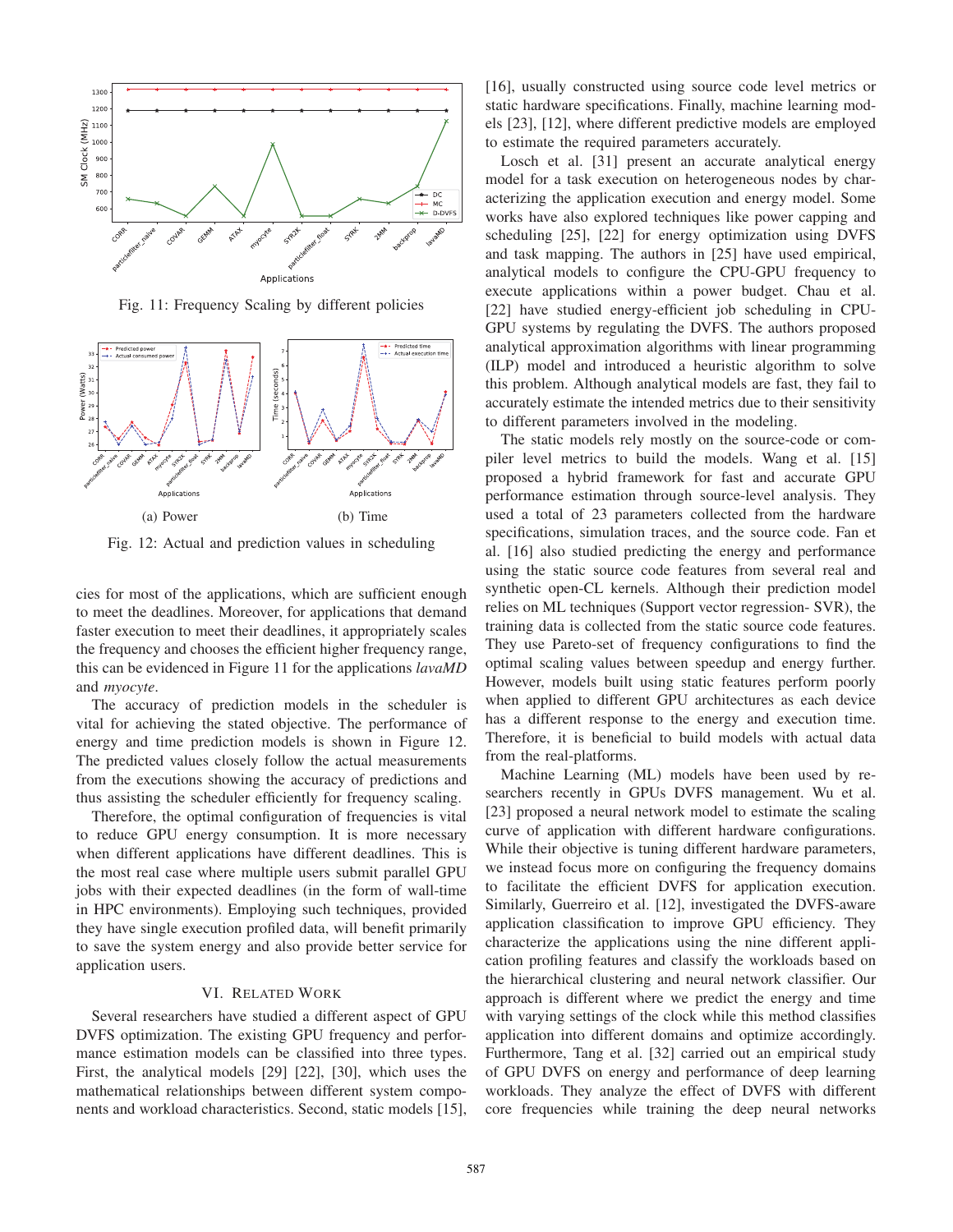

Fig. 11: Frequency Scaling by different policies



Fig. 12: Actual and prediction values in scheduling

cies for most of the applications, which are sufficient enough to meet the deadlines. Moreover, for applications that demand faster execution to meet their deadlines, it appropriately scales the frequency and chooses the efficient higher frequency range, this can be evidenced in Figure 11 for the applications *lavaMD* and *myocyte*.

The accuracy of prediction models in the scheduler is vital for achieving the stated objective. The performance of energy and time prediction models is shown in Figure 12. The predicted values closely follow the actual measurements from the executions showing the accuracy of predictions and thus assisting the scheduler efficiently for frequency scaling.

Therefore, the optimal configuration of frequencies is vital to reduce GPU energy consumption. It is more necessary when different applications have different deadlines. This is the most real case where multiple users submit parallel GPU jobs with their expected deadlines (in the form of wall-time in HPC environments). Employing such techniques, provided they have single execution profiled data, will benefit primarily to save the system energy and also provide better service for application users.

## VI. RELATED WORK

Several researchers have studied a different aspect of GPU DVFS optimization. The existing GPU frequency and performance estimation models can be classified into three types. First, the analytical models [29] [22], [30], which uses the mathematical relationships between different system components and workload characteristics. Second, static models [15], [16], usually constructed using source code level metrics or static hardware specifications. Finally, machine learning models [23], [12], where different predictive models are employed to estimate the required parameters accurately.

Losch et al. [31] present an accurate analytical energy model for a task execution on heterogeneous nodes by characterizing the application execution and energy model. Some works have also explored techniques like power capping and scheduling [25], [22] for energy optimization using DVFS and task mapping. The authors in [25] have used empirical, analytical models to configure the CPU-GPU frequency to execute applications within a power budget. Chau et al. [22] have studied energy-efficient job scheduling in CPU-GPU systems by regulating the DVFS. The authors proposed analytical approximation algorithms with linear programming (ILP) model and introduced a heuristic algorithm to solve this problem. Although analytical models are fast, they fail to accurately estimate the intended metrics due to their sensitivity to different parameters involved in the modeling.

The static models rely mostly on the source-code or compiler level metrics to build the models. Wang et al. [15] proposed a hybrid framework for fast and accurate GPU performance estimation through source-level analysis. They used a total of 23 parameters collected from the hardware specifications, simulation traces, and the source code. Fan et al. [16] also studied predicting the energy and performance using the static source code features from several real and synthetic open-CL kernels. Although their prediction model relies on ML techniques (Support vector regression- SVR), the training data is collected from the static source code features. They use Pareto-set of frequency configurations to find the optimal scaling values between speedup and energy further. However, models built using static features perform poorly when applied to different GPU architectures as each device has a different response to the energy and execution time. Therefore, it is beneficial to build models with actual data from the real-platforms.

Machine Learning (ML) models have been used by researchers recently in GPUs DVFS management. Wu et al. [23] proposed a neural network model to estimate the scaling curve of application with different hardware configurations. While their objective is tuning different hardware parameters, we instead focus more on configuring the frequency domains to facilitate the efficient DVFS for application execution. Similarly, Guerreiro et al. [12], investigated the DVFS-aware application classification to improve GPU efficiency. They characterize the applications using the nine different application profiling features and classify the workloads based on the hierarchical clustering and neural network classifier. Our approach is different where we predict the energy and time with varying settings of the clock while this method classifies application into different domains and optimize accordingly. Furthermore, Tang et al. [32] carried out an empirical study of GPU DVFS on energy and performance of deep learning workloads. They analyze the effect of DVFS with different core frequencies while training the deep neural networks